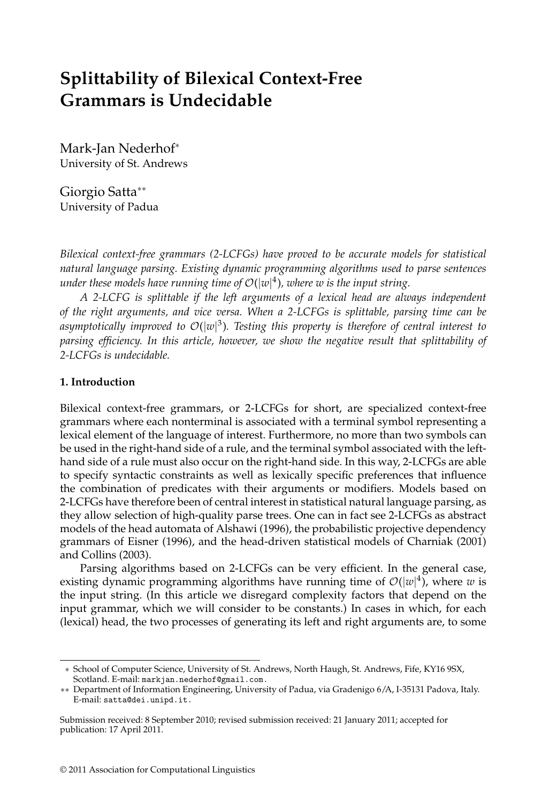# **Splittability of Bilexical Context-Free Grammars is Undecidable**

Mark-Jan Nederhof<sup>∗</sup> University of St. Andrews

Giorgio Satta∗∗ University of Padua

*Bilexical context-free grammars (2-LCFGs) have proved to be accurate models for statistical natural language parsing. Existing dynamic programming algorithms used to parse sentences under these models have running time of* O(|*w*| 4)*, where w is the input string.*

*A 2-LCFG is splittable if the left arguments of a lexical head are always independent of the right arguments, and vice versa. When a 2-LCFGs is splittable, parsing time can be asymptotically improved to* O(|*w*| 3)*. Testing this propertyis therefore of central interest to parsing efficiency. In this article, however, we show the negative result that splittability of 2-LCFGs is undecidable.*

#### **1. Introduction**

Bilexical context-free grammars, or 2-LCFGs for short, are specialized context-free grammars where each nonterminal is associated with a terminal symbol representing a lexical element of the language of interest. Furthermore, no more than two symbols can be used in the right-hand side of a rule, and the terminal symbol associated with the lefthand side of a rule must also occur on the right-hand side. In this way, 2-LCFGs are able to specify syntactic constraints as well as lexically specific preferences that influence the combination of predicates with their arguments or modifiers. Models based on 2-LCFGs have therefore been of central interest in statistical natural language parsing, as they allow selection of high-quality parse trees. One can in fact see 2-LCFGs as abstract models of the head automata of Alshawi (1996), the probabilistic projective dependency grammars of Eisner (1996), and the head-driven statistical models of Charniak (2001) and Collins (2003).

Parsing algorithms based on 2-LCFGs can be very efficient. In the general case, existing dynamic programming algorithms have running time of  $\mathcal{O}(|w|^4)$ , where w is the input string. (In this article we disregard complexity factors that depend on the input grammar, which we will consider to be constants.) In cases in which, for each (lexical) head, the two processes of generating its left and right arguments are, to some

<sup>∗</sup> School of Computer Science, University of St. Andrews, North Haugh, St. Andrews, Fife, KY16 9SX, Scotland. E-mail: markjan.nederhof@gmail.com.

<sup>∗∗</sup> Department of Information Engineering, University of Padua, via Gradenigo 6/A, I-35131 Padova, Italy. E-mail: satta@dei.unipd.it.

Submission received: 8 September 2010; revised submission received: 21 January 2011; accepted for publication: 17 April 2011.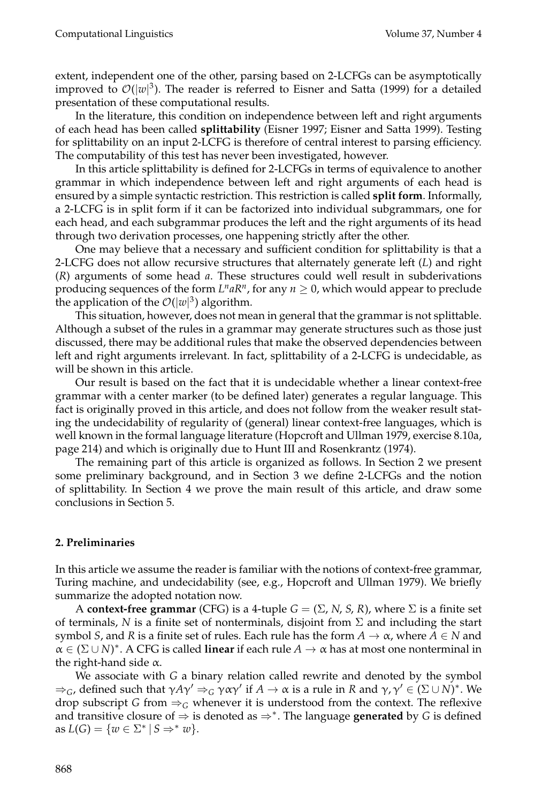extent, independent one of the other, parsing based on 2-LCFGs can be asymptotically improved to  $\mathcal{O}(|w|^3)$ . The reader is referred to Eisner and Satta (1999) for a detailed presentation of these computational results.

In the literature, this condition on independence between left and right arguments of each head has been called **splittability** (Eisner 1997; Eisner and Satta 1999). Testing for splittability on an input 2-LCFG is therefore of central interest to parsing efficiency. The computability of this test has never been investigated, however.

In this article splittability is defined for 2-LCFGs in terms of equivalence to another grammar in which independence between left and right arguments of each head is ensured by a simple syntactic restriction. This restriction is called **split form**. Informally, a 2-LCFG is in split form if it can be factorized into individual subgrammars, one for each head, and each subgrammar produces the left and the right arguments of its head through two derivation processes, one happening strictly after the other.

One may believe that a necessary and sufficient condition for splittability is that a 2-LCFG does not allow recursive structures that alternately generate left (*L*) and right (*R*) arguments of some head *a*. These structures could well result in subderivations producing sequences of the form  $L^n a R^n$ , for any  $n \geq 0$ , which would appear to preclude the application of the  $\mathcal{O}(|w|^3)$  algorithm.

This situation, however, does not mean in general that the grammar is not splittable. Although a subset of the rules in a grammar may generate structures such as those just discussed, there may be additional rules that make the observed dependencies between left and right arguments irrelevant. In fact, splittability of a 2-LCFG is undecidable, as will be shown in this article.

Our result is based on the fact that it is undecidable whether a linear context-free grammar with a center marker (to be defined later) generates a regular language. This fact is originally proved in this article, and does not follow from the weaker result stating the undecidability of regularity of (general) linear context-free languages, which is well known in the formal language literature (Hopcroft and Ullman 1979, exercise 8.10a, page 214) and which is originally due to Hunt III and Rosenkrantz (1974).

The remaining part of this article is organized as follows. In Section 2 we present some preliminary background, and in Section 3 we define 2-LCFGs and the notion of splittability. In Section 4 we prove the main result of this article, and draw some conclusions in Section 5.

### **2. Preliminaries**

In this article we assume the reader is familiar with the notions of context-free grammar, Turing machine, and undecidability (see, e.g., Hopcroft and Ullman 1979). We briefly summarize the adopted notation now.

A **context-free grammar** (CFG) is a 4-tuple  $G = (\Sigma, N, S, R)$ , where  $\Sigma$  is a finite set of terminals, *N* is a finite set of nonterminals, disjoint from  $\Sigma$  and including the start symbol *S*, and *R* is a finite set of rules. Each rule has the form  $A \to \alpha$ , where  $A \in N$  and  $\alpha \in (\Sigma \cup N)^*$ . A CFG is called **linear** if each rule  $A \to \alpha$  has at most one nonterminal in the right-hand side  $\alpha$ .

We associate with *G* a binary relation called rewrite and denoted by the symbol  $\Rightarrow_G$ , defined such that  $\gamma A \gamma' \Rightarrow_G \gamma \alpha \gamma'$  if  $A \to \alpha$  is a rule in  $R$  and  $\gamma, \gamma' \in (\Sigma \cup N)^*.$  We drop subscript *G* from  $\Rightarrow$ <sub>*G*</sub> whenever it is understood from the context. The reflexive and transitive closure of ⇒ is denoted as ⇒∗. The language **generated** by *G* is defined as  $L(G) = \{w \in \Sigma^* \mid S \Rightarrow^* w\}.$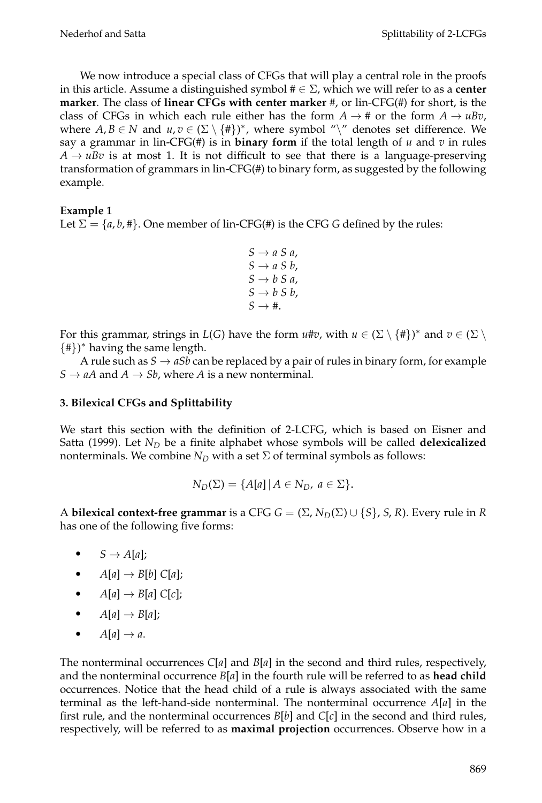We now introduce a special class of CFGs that will play a central role in the proofs in this article. Assume a distinguished symbol  $# \in \Sigma$ , which we will refer to as a **center marker**. The class of **linear CFGs with center marker** #, or lin-CFG(#) for short, is the class of CFGs in which each rule either has the form  $A \rightarrow \#$  or the form  $A \rightarrow \mu Bv$ , where  $A, B \in N$  and  $u, v \in (\Sigma \setminus \{\#\})^*$ , where symbol "\" denotes set difference. We say a grammar in lin-CFG(#) is in **binary form** if the total length of  $u$  and  $v$  in rules  $A \rightarrow uBv$  is at most 1. It is not difficult to see that there is a language-preserving transformation of grammars in lin-CFG(#) to binary form, as suggested by the following example.

#### **Example 1**

Let  $\Sigma = \{a, b, \# \}$ . One member of lin-CFG(#) is the CFG *G* defined by the rules:

 $S \rightarrow a S a$ ,  $S \rightarrow a S b$ ,  $S \rightarrow b S a$ ,  $S \rightarrow b S b$ ,  $S \rightarrow \text{#}$ .

For this grammar, strings in  $L(G)$  have the form  $u \# v$ , with  $u \in (\Sigma \setminus \{ \# \})^*$  and  $v \in (\Sigma \setminus \{ \# \})$  $\{\#\}$ )\* having the same length.

A rule such as  $S \rightarrow aSb$  can be replaced by a pair of rules in binary form, for example  $S \rightarrow aA$  and  $A \rightarrow Sb$ , where A is a new nonterminal.

#### **3. Bilexical CFGs and Splittability**

We start this section with the definition of 2-LCFG, which is based on Eisner and Satta (1999). Let *N<sub>D</sub>* be a finite alphabet whose symbols will be called **delexicalized** nonterminals. We combine  $N_D$  with a set  $\Sigma$  of terminal symbols as follows:

$$
N_D(\Sigma) = \{A[a] \mid A \in N_D, a \in \Sigma\}.
$$

A **bilexical context-free grammar** is a CFG  $G = (\Sigma, N_D(\Sigma) \cup \{S\}, S, R)$ . Every rule in *R* has one of the following five forms:

- $S \rightarrow A[a];$
- $\bullet$  *A*[*a*]  $\rightarrow$  *B*[*b*] *C*[*a*];
- $\bullet$  *A*[*a*]  $\rightarrow$  *B*[*a*] *C*[*c*];
- $A[a] \rightarrow B[a];$
- $\bullet$  *A*[ $a$ ]  $\rightarrow$  *a*.

The nonterminal occurrences *C*[*a*] and *B*[*a*] in the second and third rules, respectively, and the nonterminal occurrence *B*[*a*] in the fourth rule will be referred to as **head child** occurrences. Notice that the head child of a rule is always associated with the same terminal as the left-hand-side nonterminal. The nonterminal occurrence *A*[*a*] in the first rule, and the nonterminal occurrences *B*[*b*] and *C*[*c*] in the second and third rules, respectively, will be referred to as **maximal projection** occurrences. Observe how in a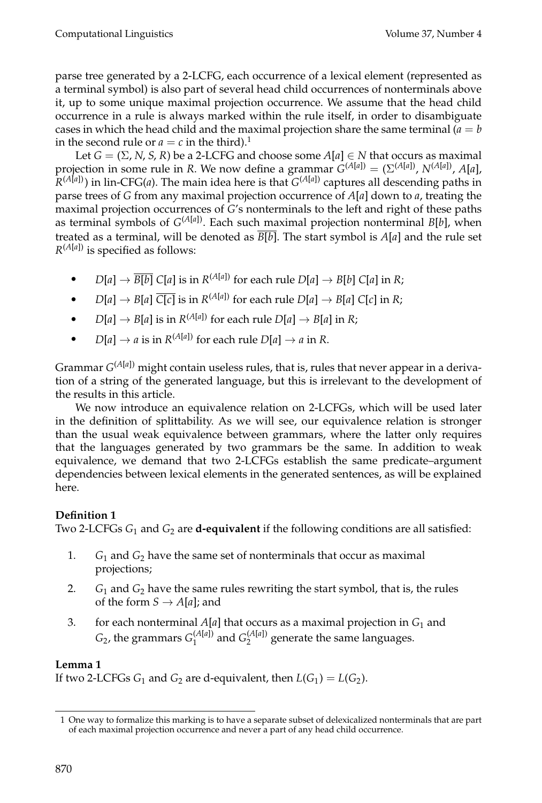parse tree generated by a 2-LCFG, each occurrence of a lexical element (represented as a terminal symbol) is also part of several head child occurrences of nonterminals above it, up to some unique maximal projection occurrence. We assume that the head child occurrence in a rule is always marked within the rule itself, in order to disambiguate cases in which the head child and the maximal projection share the same terminal  $(a = b$ in the second rule or  $a = c$  in the third).<sup>1</sup>

Let *G* =  $(\Sigma, N, S, R)$  be a 2-LCFG and choose some  $A[a] \in N$  that occurs as maximal projection in some rule in *R*. We now define a grammar  $G^{(A[a])} = (\Sigma^{(A[a])}, N^{(A[a])}, A[a],$  $R^{(A[a])}$ ) in lin-CFG(*a*). The main idea here is that  $G^{(A[a])}$  captures all descending paths in parse trees of *G* from any maximal projection occurrence of *A*[*a*] down to *a*, treating the maximal projection occurrences of *G*'s nonterminals to the left and right of these paths as terminal symbols of *G*(*A*[*<sup>a</sup>*]). Each such maximal projection nonterminal *B*[*b*], when treated as a terminal, will be denoted as *B*[*b*]. The start symbol is *A*[*a*] and the rule set  $R^{(A[a])}$  is specified as follows:

- *D*[ $a$ ]  $\rightarrow$   $\overline{B[b]}$  *C*[ $a$ ] is in  $R^{(A[a])}$  for each rule *D*[ $a$ ]  $\rightarrow$  *B*[ $b$ ] *C*[ $a$ ] in *R*;
- $D[a] \rightarrow B[a] \overline{C[c]}$  is in  $R^{(A[a])}$  for each rule  $D[a] \rightarrow B[a] C[c]$  in *R*;
- *D*[ $a$ ]  $\rightarrow$  *B*[ $a$ ] is in *R*<sup>(*A*[ $a$ ])</sup> for each rule *D*[ $a$ ]  $\rightarrow$  *B*[ $a$ ] in *R*;
- *D*[ $a$ ]  $\rightarrow$  *a* is in *R*<sup>(*A*[ $a$ ])</sup> for each rule *D*[ $a$ ]  $\rightarrow$  *a* in *R*.

Grammar *G*(*A*[*a*]) might contain useless rules, that is, rules that never appear in a derivation of a string of the generated language, but this is irrelevant to the development of the results in this article.

We now introduce an equivalence relation on 2-LCFGs, which will be used later in the definition of splittability. As we will see, our equivalence relation is stronger than the usual weak equivalence between grammars, where the latter only requires that the languages generated by two grammars be the same. In addition to weak equivalence, we demand that two 2-LCFGs establish the same predicate–argument dependencies between lexical elements in the generated sentences, as will be explained here.

# **Definition 1**

Two 2-LCFGs *G*<sup>1</sup> and *G*<sup>2</sup> are **d-equivalent** if the following conditions are all satisfied:

- 1.  $G_1$  and  $G_2$  have the same set of nonterminals that occur as maximal projections;
- 2.  $G_1$  and  $G_2$  have the same rules rewriting the start symbol, that is, the rules of the form  $S \rightarrow A[a]$ ; and
- 3. for each nonterminal  $A[a]$  that occurs as a maximal projection in  $G_1$  and  $G_2$ , the grammars  $G_1^{(A[a])}$  and  $G_2^{(A[a])}$  generate the same languages.

# **Lemma 1**

If two 2-LCFGs  $G_1$  and  $G_2$  are d-equivalent, then  $L(G_1) = L(G_2)$ .

<sup>1</sup> One way to formalize this marking is to have a separate subset of delexicalized nonterminals that are part of each maximal projection occurrence and never a part of any head child occurrence.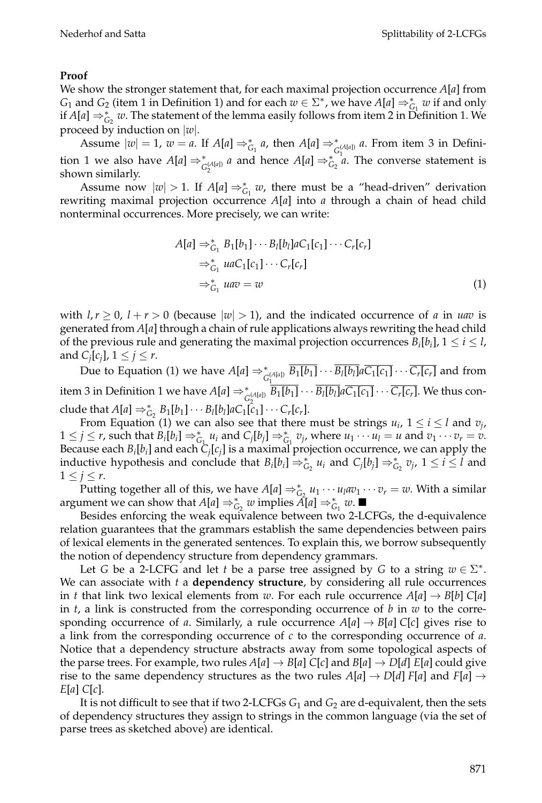#### **Proof**

We show the stronger statement that, for each maximal projection occurrence *A*[*a*] from *G*<sub>1</sub> and *G*<sub>2</sub> (item 1 in Definition 1) and for each  $w \in \Sigma^*$ , we have  $A[a] \Rightarrow_{G_1}^* w$  if and only if *A*[ $a$ ]  $\Rightarrow_{G_2}^* w$ . The statement of the lemma easily follows from item 2 in Definition 1. We proceed by induction on |*w*|.

Assume  $|w| = 1$ ,  $w = a$ . If  $A[a] \Rightarrow_{G_1}^* a$ , then  $A[a] \Rightarrow_{G_1^*(A[a])}^* a$ . From item 3 in Definition 1 we also have  $A[a] \Rightarrow_{G_2^{(A[a])}}^* a$  and hence  $A[a] \Rightarrow_{G_2}^* a$ . The converse statement is shown similarly.

Assume now  $|w| > 1$ . If  $A[a] \Rightarrow_{G_1}^* w$ , there must be a "head-driven" derivation rewriting maximal projection occurrence *A*[*a*] into *a* through a chain of head child nonterminal occurrences. More precisely, we can write:

$$
A[a] \Rightarrow_{G_1}^* B_1[b_1] \cdots B_l[b_l]aC_1[c_1] \cdots C_r[c_r]
$$
  
\n
$$
\Rightarrow_{G_1}^* uaC_1[c_1] \cdots C_r[c_r]
$$
  
\n
$$
\Rightarrow_{G_1}^* uav = w
$$
 (1)

with  $l, r \geq 0$ ,  $l + r > 0$  (because  $|w| > 1$ ), and the indicated occurrence of *a* in *uav* is generated from *A*[*a*] through a chain of rule applications always rewriting the head child of the previous rule and generating the maximal projection occurrences  $B_i[b_i]$ ,  $1 \le i \le l$ , and  $C_i[c_j], 1 \leq j \leq r$ .

Due to Equation (1) we have  $A[a] \Rightarrow_{G_1^{(A[a])}}^* B_1[b_1] \cdots B_l[b_l] a C_1[c_1] \cdots C_r[c_r]$  and from item 3 in Definition 1 we have  $A[a] \Rightarrow_{C_2^{\{A[a]\}}}^* B_1[b_1] \cdots B_l[b_l] a C_1[c_1] \cdots C_r[c_r]$ . We thus conclude that  $A[a] \Rightarrow_{G_2}^* B_1[b_1] \cdots B_l[b_l] a C_1[c_1] \cdots C_r[c_r]$ .

From Equation (1) we can also see that there must be strings  $u_i$ ,  $1 \le i \le l$  and  $v_i$ ,  $1 \leq j \leq r$ , such that  $B_i[b_i] \Rightarrow_{G_1}^* u_i$  and  $C_j[b_j] \Rightarrow_{G_1}^* v_j$ , where  $u_1 \cdots u_l = u$  and  $v_1 \cdots v_r = v$ . Because each  $B_i[b_i]$  and each  $C_i[c_j]$  is a maximal projection occurrence, we can apply the inductive hypothesis and conclude that  $B_i[b_i] \Rightarrow_{G_2}^* u_i$  and  $C_j[b_j] \Rightarrow_{G_2}^* v_j$ ,  $1 \le i \le l$  and  $1 \leq j \leq r$ .

Putting together all of this, we have  $A[a] \Rightarrow_{G_2}^* u_1 \cdots u_l a v_1 \cdots v_r = w$ . With a similar argument we can show that  $A[a] \Rightarrow_{G_2}^* w$  implies  $A[a] \Rightarrow_{G_1}^* w$ .

Besides enforcing the weak equivalence between two 2-LCFGs, the d-equivalence relation guarantees that the grammars establish the same dependencies between pairs of lexical elements in the generated sentences. To explain this, we borrow subsequently the notion of dependency structure from dependency grammars.

Let *G* be a 2-LCFG and let *t* be a parse tree assigned by *G* to a string  $w \in \Sigma^*$ . We can associate with *t* a **dependency structure**, by considering all rule occurrences in *t* that link two lexical elements from *w*. For each rule occurrence  $A[a] \rightarrow B[b] C[a]$ in *t*, a link is constructed from the corresponding occurrence of *b* in *w* to the corresponding occurrence of *a*. Similarly, a rule occurrence  $A[a] \rightarrow B[a] C[c]$  gives rise to a link from the corresponding occurrence of *c* to the corresponding occurrence of *a*. Notice that a dependency structure abstracts away from some topological aspects of the parse trees. For example, two rules  $A[a] \rightarrow B[a]$  C[*c*] and  $B[a] \rightarrow D[d]$  E[*a*] could give rise to the same dependency structures as the two rules  $A[a] \to D[d]$  *F*[*a*] and *F*[*a*]  $\to$ *E*[*a*] *C*[*c*].

It is not difficult to see that if two 2-LCFGs  $G_1$  and  $G_2$  are d-equivalent, then the sets of dependency structures they assign to strings in the common language (via the set of parse trees as sketched above) are identical.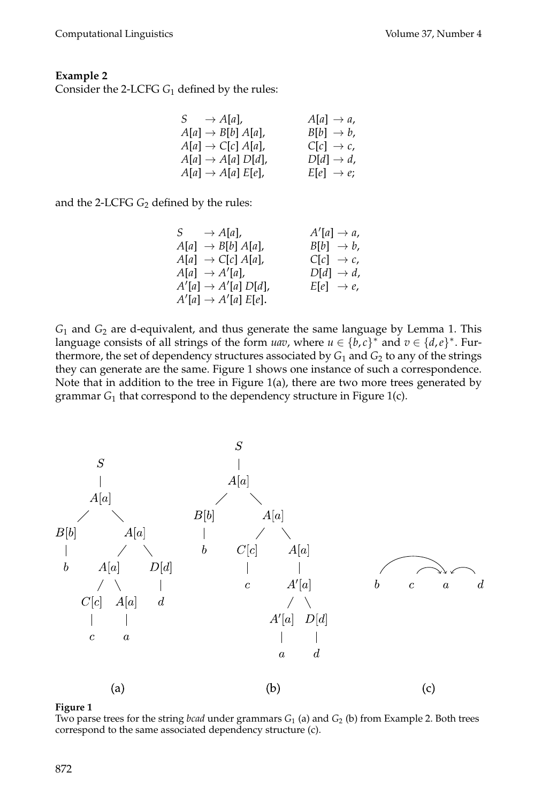#### **Example 2**

Consider the 2-LCFG *G*<sup>1</sup> defined by the rules:

| $S \rightarrow A[a],$            | $A[a] \rightarrow a$ , |
|----------------------------------|------------------------|
| $A[a] \rightarrow B[b] A[a],$    | $B[b] \rightarrow b,$  |
| $A[a] \rightarrow C[c] A[a],$    | $C[c] \rightarrow c$ , |
| $A[a] \rightarrow A[a]$ $D[d]$ , | $D[d] \rightarrow d$ , |
| $A[a] \rightarrow A[a] E[e],$    | $E[e] \rightarrow e;$  |
|                                  |                        |

and the 2-LCFG  $G_2$  defined by the rules:

 $S \longrightarrow A[a],$  $'$ [a]  $\rightarrow$  a,  $A[a] \rightarrow B[b] A[a],$   $B[b] \rightarrow b,$  $A[a] \rightarrow C[c] A[a],$   $C[c] \rightarrow c$ ,  $A[a] \rightarrow A'$  $D[d] \rightarrow d$ ,  $A'[a] \to A'$  $E[e] \rightarrow e$ ,  $A'[a] \rightarrow A'[a] E[e].$ 

*G*<sup>1</sup> and *G*<sup>2</sup> are d-equivalent, and thus generate the same language by Lemma 1. This language consists of all strings of the form *uav*, where  $u \in \{b, c\}^*$  and  $v \in \{d, e\}^*$ . Furthermore, the set of dependency structures associated by  $G_1$  and  $G_2$  to any of the strings they can generate are the same. Figure 1 shows one instance of such a correspondence. Note that in addition to the tree in Figure 1(a), there are two more trees generated by grammar *G*<sup>1</sup> that correspond to the dependency structure in Figure 1(c).



#### **Figure 1**

Two parse trees for the string *bcad* under grammars  $G_1$  (a) and  $G_2$  (b) from Example 2. Both trees correspond to the same associated dependency structure (c).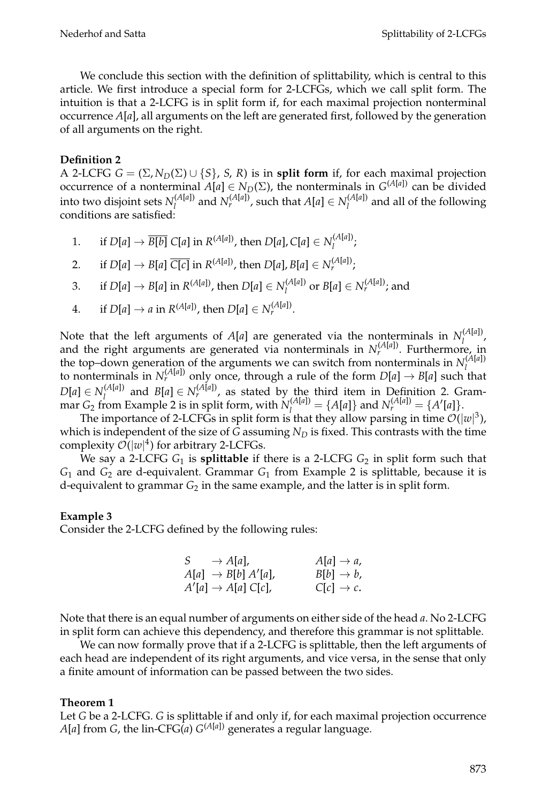We conclude this section with the definition of splittability, which is central to this article. We first introduce a special form for 2-LCFGs, which we call split form. The intuition is that a 2-LCFG is in split form if, for each maximal projection nonterminal occurrence *A*[*a*], all arguments on the left are generated first, followed by the generation of all arguments on the right.

## **Definition 2**

A 2-LCFG  $G = (\Sigma, N_D(\Sigma) \cup \{S\}, S, R)$  is in **split form** if, for each maximal projection occurrence of a nonterminal  $A[a] \in N_D(\Sigma)$ , the nonterminals in  $G^{(A[a])}$  can be divided into two disjoint sets  $N_l^{(A[a])}$  and  $N_r^{(A[a])}$ , such that  $A[a] \in N_l^{(A[a])}$  and all of the following conditions are satisfied:

- 1. if  $D[a] \to \overline{B[b]}$   $C[a]$  in  $R^{(A[a])}$ , then  $D[a]$ ,  $C[a] \in N^{(A[a])}_l$ ;
- 2. if  $D[a] \rightarrow B[a] \; \overline{C[c]}$  in  $R^{(A[a])}$ , then  $D[a], B[a] \in N_r^{(A[a])}$ ;
- 3. if  $D[a] \to B[a]$  in  $R^{(A[a])}$ , then  $D[a] \in N_l^{(A[a])}$  or  $B[a] \in N_r^{(A[a])}$ ; and
- 4. if  $D[a] \to a$  in  $R^{(A[a])}$ , then  $D[a] \in N_r^{(A[a])}$ .

Note that the left arguments of *A*[*a*] are generated via the nonterminals in  $N_l^{(A[a])}$ , and the right arguments are generated via nonterminals in  $N_r^{(A[a])}$ . Furthermore, in the top–down generation of the arguments we can switch from nonterminals in  $N_l^{(A[a])}$ <br>to nonterminals in  $N_r^{(A[a])}$  only once, through a rule of the form  $D[a] \rightarrow B[a]$  such that  $D[a] \in N_I^{(A[a])}$  and  $B[a] \in N_r^{(A[a])}$ , as stated by the third item in Definition 2. Grammar *G*<sub>2</sub> from Example 2 is in split form, with  $N_l^{(A[a])} = \{A[a]\}$  and  $N_r^{(A[a])} = \{A'[a]\}.$ 

The importance of 2-LCFGs in split form is that they allow parsing in time  $\mathcal{O}(|w|^3)$ , which is independent of the size of  $G$  assuming  $N_D$  is fixed. This contrasts with the time complexity  $\mathcal{O}(|w|^4)$  for arbitrary 2-LCFGs.

We say a 2-LCFG *G*<sup>1</sup> is **splittable** if there is a 2-LCFG *G*<sup>2</sup> in split form such that *G*<sup>1</sup> and *G*<sup>2</sup> are d-equivalent. Grammar *G*<sup>1</sup> from Example 2 is splittable, because it is d-equivalent to grammar *G*<sub>2</sub> in the same example, and the latter is in split form.

### **Example 3**

Consider the 2-LCFG defined by the following rules:

$$
S \rightarrow A[a], \qquad A[a] \rightarrow a,
$$
  
\n
$$
A[a] \rightarrow B[b] A'[a], \qquad B[b] \rightarrow b,
$$
  
\n
$$
A'[a] \rightarrow A[a] C[c], \qquad C[c] \rightarrow c.
$$

Note that there is an equal number of arguments on either side of the head *a*. No 2-LCFG in split form can achieve this dependency, and therefore this grammar is not splittable.

We can now formally prove that if a 2-LCFG is splittable, then the left arguments of each head are independent of its right arguments, and vice versa, in the sense that only a finite amount of information can be passed between the two sides.

### **Theorem 1**

Let *G* be a 2-LCFG. *G* is splittable if and only if, for each maximal projection occurrence  $A[a]$  from *G*, the lin-CFG(*a*)  $G^{(A[a])}$  generates a regular language.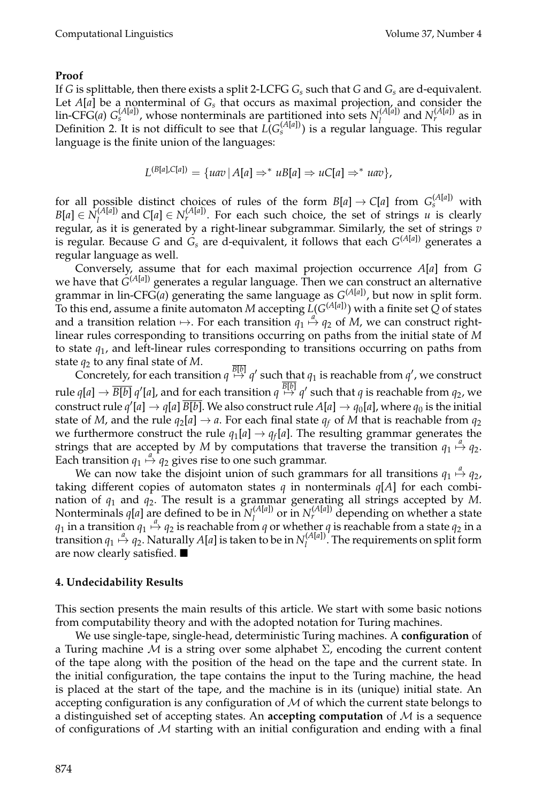#### **Proof**

If *G* is splittable, then there exists a split 2-LCFG  $G_s$  such that  $G$  and  $G_s$  are d-equivalent. Let  $A[a]$  be a nonterminal of  $G_s$  that occurs as maximal projection, and consider the  $\lim_{\epsilon \to 0} \text{CFG}(a) G_s^{(A[a])}$ , whose nonterminals are partitioned into sets  $N_l^{(A[a])}$  and  $N_r^{(A[a])}$  as in Definition 2. It is not difficult to see that  $L(G<sub>s</sub>(A[a])$  is a regular language. This regular language is the finite union of the languages:

$$
L^{(B[a],C[a])} = \{uav \mid A[a] \Rightarrow^* uB[a] \Rightarrow uC[a] \Rightarrow^* uav\},\
$$

for all possible distinct choices of rules of the form  $B[a] \to C[a]$  from  $G_s^{(A[a])}$  with  $B[a] \in N_I^{(A[a])}$  and  $C[a] \in N_r^{(A[a])}$ . For each such choice, the set of strings *u* is clearly regular, as it is generated by a right-linear subgrammar. Similarly, the set of strings *v* is regular. Because *G* and  $G_s$  are d-equivalent, it follows that each  $G^{(A|a)}$  generates a regular language as well.

Conversely, assume that for each maximal projection occurrence *A*[*a*] from *G* we have that *G*(*A*[*a*]) generates a regular language. Then we can construct an alternative grammar in lin-CFG(*a*) generating the same language as *G*(*A*[*<sup>a</sup>*]), but now in split form. To this end, assume a finite automaton *M* accepting  $\widetilde{L}(G^{(A[a])})$  with a finite set  $\widetilde{Q}$  of states and a transition relation  $\mapsto$ . For each transition  $q_1 \stackrel{a}{\mapsto} q_2$  of *M*, we can construct rightlinear rules corresponding to transitions occurring on paths from the initial state of *M* to state *q*1, and left-linear rules corresponding to transitions occurring on paths from state  $q_2$  to any final state of *M*.

Concretely, for each transition  $q \stackrel{B[b]}{\mapsto} q'$  such that  $q_1$  is reachable from  $q'$ , we construct rule  $q[a]\to \overline{B[b]}$   $q'[a]$ , and for each transition  $q\stackrel{B[b]}{\mapsto}q'$  such that  $q$  is reachable from  $q_2$ , we construct rule  $q'[a] \rightarrow q[a]$   $B[b]$ . We also construct rule  $A[a] \rightarrow q_0[a]$ , where  $q_0$  is the initial state of *M*, and the rule  $q_2[a] \rightarrow a$ . For each final state  $q_f$  of *M* that is reachable from  $q_2$ we furthermore construct the rule  $q_1[a] \rightarrow q_f[a]$ . The resulting grammar generates the strings that are accepted by *M* by computations that traverse the transition  $q_1 \stackrel{a}{\mapsto} q_2$ . Each transition  $q_1 \stackrel{a}{\mapsto} q_2$  gives rise to one such grammar.

We can now take the disjoint union of such grammars for all transitions  $q_1 \stackrel{a}{\mapsto} q_2$ , taking different copies of automaton states *q* in nonterminals  $q[A]$  for each combination of *q*<sup>1</sup> and *q*2. The result is a grammar generating all strings accepted by *M*. Nonterminals *q*[*a*] are defined to be in  $N_l^{(A[a])}$  or in  $N_r^{(A[a])}$  depending on whether a state  $q_1$  in a transition  $q_1 \stackrel{a}{\mapsto} q_2$  is reachable from *q* or whether *q* is reachable from a state  $q_2$  in a transition  $q_1 \stackrel{a}{\mapsto} q_2$ . Naturally *A*[*a*] is taken to be in  $N_l^{(A[a])}$ . The requirements on split form are now clearly satisfied.

#### **4. Undecidability Results**

This section presents the main results of this article. We start with some basic notions from computability theory and with the adopted notation for Turing machines.

We use single-tape, single-head, deterministic Turing machines. A **configuration** of a Turing machine  $M$  is a string over some alphabet  $\Sigma$ , encoding the current content of the tape along with the position of the head on the tape and the current state. In the initial configuration, the tape contains the input to the Turing machine, the head is placed at the start of the tape, and the machine is in its (unique) initial state. An accepting configuration is any configuration of  $M$  of which the current state belongs to a distinguished set of accepting states. An **accepting computation** of M is a sequence of configurations of  $M$  starting with an initial configuration and ending with a final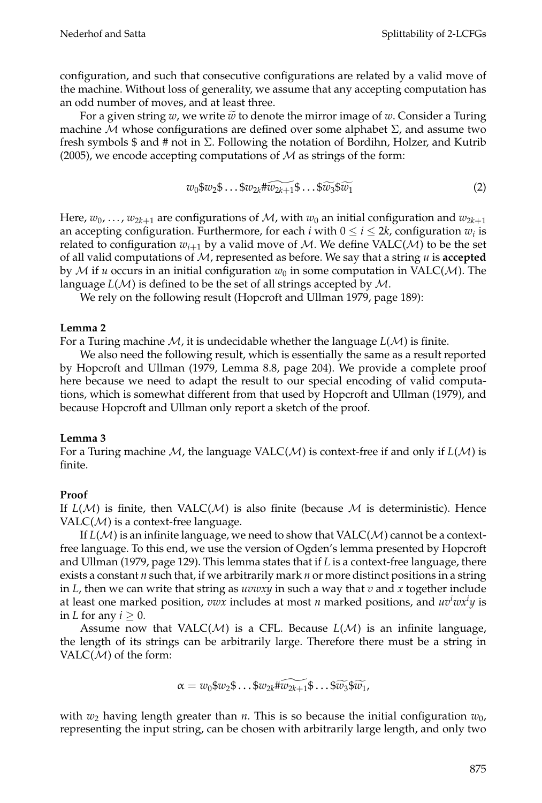configuration, and such that consecutive configurations are related by a valid move of the machine. Without loss of generality, we assume that any accepting computation has an odd number of moves, and at least three.

For a given string  $w$ , we write  $\tilde{w}$  to denote the mirror image of  $w$ . Consider a Turing machine M whose configurations are defined over some alphabet  $\Sigma$ , and assume two fresh symbols  $\frac{1}{2}$  and  $\frac{1}{2}$  not in  $\Sigma$ . Following the notation of Bordihn, Holzer, and Kutrib (2005), we encode accepting computations of  $M$  as strings of the form:

$$
w_0\$w_2\$ \dots \$w_{2k} \# \widetilde{w_{2k+1}} \$ \dots \$ \widetilde{w_3} \$\widetilde{w_1} \tag{2}
$$

Here,  $w_0$ , ...,  $w_{2k+1}$  are configurations of M, with  $w_0$  an initial configuration and  $w_{2k+1}$ an accepting configuration. Furthermore, for each *i* with  $0 \le i \le 2k$ , configuration  $w_i$  is related to configuration  $w_{i+1}$  by a valid move of M. We define VALC( $M$ ) to be the set of all valid computations of M, represented as before. We say that a string *u* is **accepted** by M if *u* occurs in an initial configuration  $w_0$  in some computation in VALC(M). The language *L*(M) is defined to be the set of all strings accepted by M.

We rely on the following result (Hopcroft and Ullman 1979, page 189):

#### **Lemma 2**

For a Turing machine M, it is undecidable whether the language *L*(M) is finite.

We also need the following result, which is essentially the same as a result reported by Hopcroft and Ullman (1979, Lemma 8.8, page 204). We provide a complete proof here because we need to adapt the result to our special encoding of valid computations, which is somewhat different from that used by Hopcroft and Ullman (1979), and because Hopcroft and Ullman only report a sketch of the proof.

#### **Lemma 3**

For a Turing machine M, the language VALC(M) is context-free if and only if *L*(M) is finite.

### **Proof**

If  $L(\mathcal{M})$  is finite, then VALC( $\mathcal{M}$ ) is also finite (because  $\mathcal{M}$  is deterministic). Hence  $VALC(M)$  is a context-free language.

If  $L(\mathcal{M})$  is an infinite language, we need to show that  $\text{VALC}(\mathcal{M})$  cannot be a contextfree language. To this end, we use the version of Ogden's lemma presented by Hopcroft and Ullman (1979, page 129). This lemma states that if *L* is a context-free language, there exists a constant *n* such that, if we arbitrarily mark *n* or more distinct positions in a string in *L*, then we can write that string as *uvwxy* in such a way that *v* and *x* together include at least one marked position, *vwx* includes at most *n* marked positions, and  $uv^iwx^iy$  is in *L* for any  $i \geq 0$ .

Assume now that VALC( $M$ ) is a CFL. Because  $L(M)$  is an infinite language, the length of its strings can be arbitrarily large. Therefore there must be a string in VALC( $M$ ) of the form:

$$
\alpha = w_0\$w_2\$ \dots \$w_{2k} \widetilde{w_{2k+1}} \$ \dots \$ \widetilde{w_3} \widetilde{w_1},
$$

with  $w_2$  having length greater than *n*. This is so because the initial configuration  $w_0$ , representing the input string, can be chosen with arbitrarily large length, and only two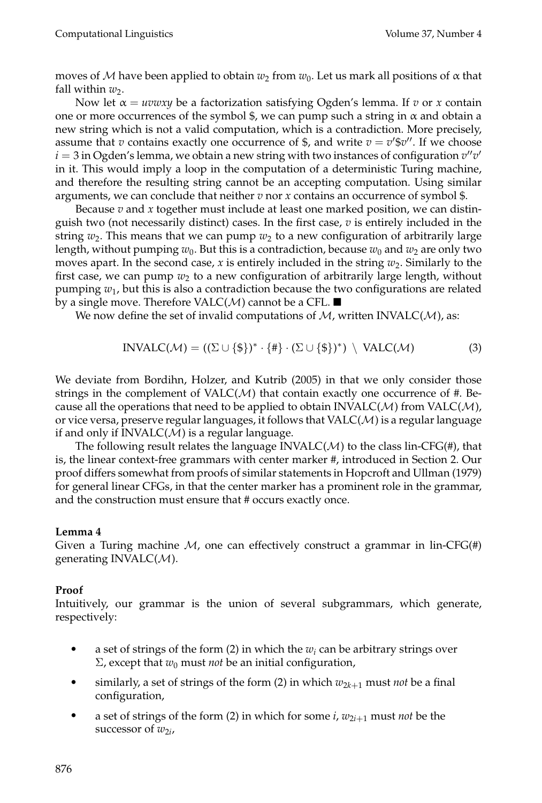moves of M have been applied to obtain  $w_2$  from  $w_0$ . Let us mark all positions of  $\alpha$  that fall within  $w_2$ .

Now let  $\alpha = uvwxy$  be a factorization satisfying Ogden's lemma. If *v* or *x* contain one or more occurrences of the symbol  $\frac{1}{2}$ , we can pump such a string in  $\alpha$  and obtain a new string which is not a valid computation, which is a contradiction. More precisely, assume that *v* contains exactly one occurrence of \$, and write  $v = v'$ \$*v* $''$ . If we choose  $i=3$  in Ogden's lemma, we obtain a new string with two instances of configuration  $v''v'$ in it. This would imply a loop in the computation of a deterministic Turing machine, and therefore the resulting string cannot be an accepting computation. Using similar arguments, we can conclude that neither *v* nor *x* contains an occurrence of symbol \$.

Because  $v$  and  $x$  together must include at least one marked position, we can distinguish two (not necessarily distinct) cases. In the first case,  $v$  is entirely included in the string  $w_2$ . This means that we can pump  $w_2$  to a new configuration of arbitrarily large length, without pumping  $w_0$ . But this is a contradiction, because  $w_0$  and  $w_2$  are only two moves apart. In the second case, *x* is entirely included in the string  $w_2$ . Similarly to the first case, we can pump  $w_2$  to a new configuration of arbitrarily large length, without pumping *w*1, but this is also a contradiction because the two configurations are related by a single move. Therefore VALC( $M$ ) cannot be a CFL.  $\blacksquare$ 

We now define the set of invalid computations of  $M$ , written INVALC( $M$ ), as:

$$
INVALC(\mathcal{M}) = ((\Sigma \cup \{\$\})^* \cdot \{\#\} \cdot (\Sigma \cup \{\$\})^*) \setminus \text{VALC}(\mathcal{M})
$$
(3)

We deviate from Bordihn, Holzer, and Kutrib (2005) in that we only consider those strings in the complement of  $VALC(M)$  that contain exactly one occurrence of #. Because all the operations that need to be applied to obtain INVALC( $M$ ) from VALC( $M$ ), or vice versa, preserve regular languages, it follows that  $VALC(\mathcal{M})$  is a regular language if and only if  $INVALC(M)$  is a regular language.

The following result relates the language INVALC( $M$ ) to the class lin-CFG(#), that is, the linear context-free grammars with center marker #, introduced in Section 2. Our proof differs somewhat from proofs of similar statements in Hopcroft and Ullman (1979) for general linear CFGs, in that the center marker has a prominent role in the grammar, and the construction must ensure that # occurs exactly once.

#### **Lemma 4**

Given a Turing machine  $M$ , one can effectively construct a grammar in lin-CFG(#) generating INVALC $(M)$ .

#### **Proof**

Intuitively, our grammar is the union of several subgrammars, which generate, respectively:

- a set of strings of the form  $(2)$  in which the  $w_i$  can be arbitrary strings over  $\Sigma$ , except that  $w_0$  must *not* be an initial configuration,
- similarly, a set of strings of the form (2) in which  $w_{2k+1}$  must *not* be a final configuration,
- a set of strings of the form (2) in which for some  $i$ ,  $w_{2i+1}$  must *not* be the successor of  $w_{2i}$ ,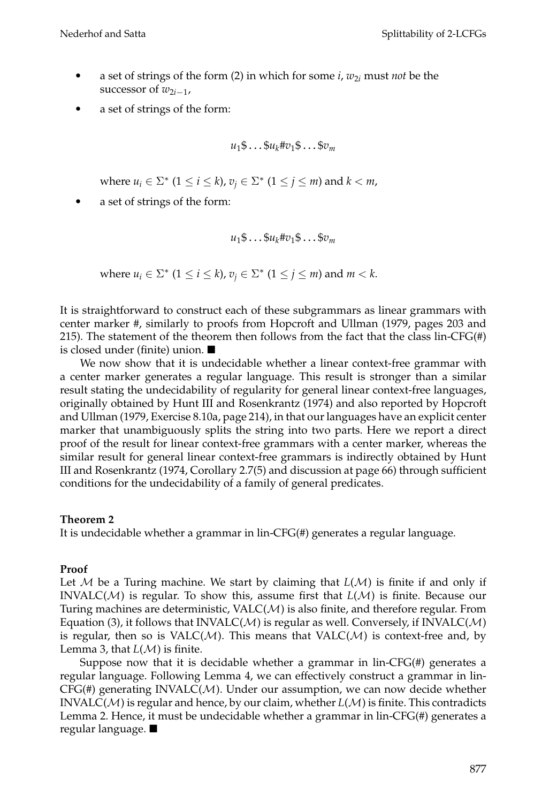- a set of strings of the form (2) in which for some  $i$ ,  $w_{2i}$  must *not* be the successor of  $w_{2i-1}$ ,
- a set of strings of the form:

$$
u_1\$\dots\$\nu_k\#\nu_1\$\dots\$\nu_m
$$

where  $u_i \in \Sigma^*$   $(1 \le i \le k)$ ,  $v_i \in \Sigma^*$   $(1 \le j \le m)$  and  $k < m$ ,

• a set of strings of the form:

$$
u_1\$\dots\$\nu_k\#\nu_1\$\dots\$\nu_m
$$

where  $u_i \in \Sigma^*$   $(1 \le i \le k)$ ,  $v_i \in \Sigma^*$   $(1 \le j \le m)$  and  $m < k$ .

It is straightforward to construct each of these subgrammars as linear grammars with center marker #, similarly to proofs from Hopcroft and Ullman (1979, pages 203 and 215). The statement of the theorem then follows from the fact that the class lin-CFG(#) is closed under (finite) union.

We now show that it is undecidable whether a linear context-free grammar with a center marker generates a regular language. This result is stronger than a similar result stating the undecidability of regularity for general linear context-free languages, originally obtained by Hunt III and Rosenkrantz (1974) and also reported by Hopcroft and Ullman (1979, Exercise 8.10a, page 214), in that our languages have an explicit center marker that unambiguously splits the string into two parts. Here we report a direct proof of the result for linear context-free grammars with a center marker, whereas the similar result for general linear context-free grammars is indirectly obtained by Hunt III and Rosenkrantz (1974, Corollary 2.7(5) and discussion at page 66) through sufficient conditions for the undecidability of a family of general predicates.

#### **Theorem 2**

It is undecidable whether a grammar in lin-CFG(#) generates a regular language.

#### **Proof**

Let M be a Turing machine. We start by claiming that  $L(\mathcal{M})$  is finite if and only if INVALC(M) is regular. To show this, assume first that *L*(M) is finite. Because our Turing machines are deterministic,  $VALC(M)$  is also finite, and therefore regular. From Equation (3), it follows that  $INVALC(M)$  is regular as well. Conversely, if  $INVALC(M)$ is regular, then so is  $VALC(M)$ . This means that  $VALC(M)$  is context-free and, by Lemma 3, that  $L(M)$  is finite.

Suppose now that it is decidable whether a grammar in lin-CFG $(H)$  generates a regular language. Following Lemma 4, we can effectively construct a grammar in lin- $CFG(\#)$  generating INVALC( $M$ ). Under our assumption, we can now decide whether INVALC(M) is regular and hence, by our claim, whether *L*(M) is finite. This contradicts Lemma 2. Hence, it must be undecidable whether a grammar in lin-CFG(#) generates a regular language.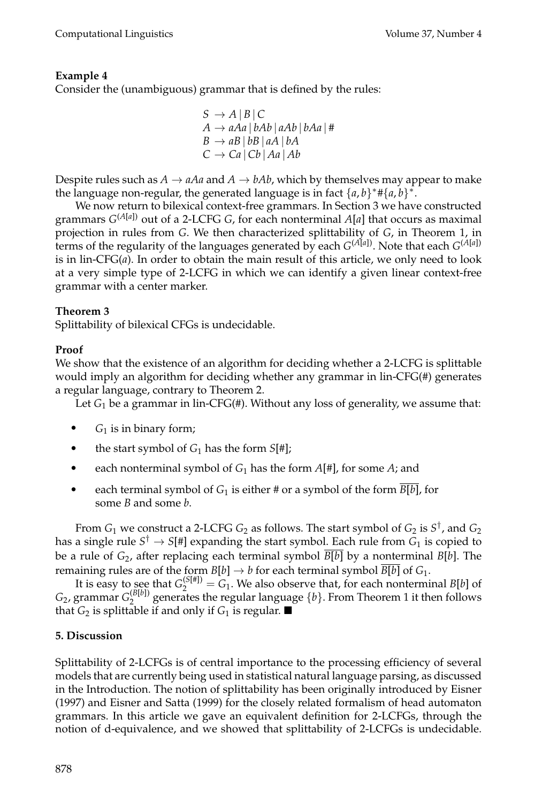# **Example 4**

Consider the (unambiguous) grammar that is defined by the rules:

$$
S \rightarrow A | B | C
$$
  
\n
$$
A \rightarrow aAa | bAb | aAb | bAa | #
$$
  
\n
$$
B \rightarrow aB | bB | aA | bA
$$
  
\n
$$
C \rightarrow Ca | Cb | Aa | Ab
$$

Despite rules such as  $A \rightarrow aAa$  and  $A \rightarrow bAb$ , which by themselves may appear to make the language non-regular, the generated language is in fact  $\{a, b\}^* \# \{a, b\}^*$ .

We now return to bilexical context-free grammars. In Section 3 we have constructed grammars *G*(*A*[*a*]) out of a 2-LCFG *G*, for each nonterminal *A*[*a*] that occurs as maximal projection in rules from *G*. We then characterized splittability of *G*, in Theorem 1, in terms of the regularity of the languages generated by each  $G^{(A[a])}$ . Note that each  $G^{(A[a])}$ is in lin-CFG(*a*). In order to obtain the main result of this article, we only need to look at a very simple type of 2-LCFG in which we can identify a given linear context-free grammar with a center marker.

# **Theorem 3**

Splittability of bilexical CFGs is undecidable.

# **Proof**

We show that the existence of an algorithm for deciding whether a 2-LCFG is splittable would imply an algorithm for deciding whether any grammar in lin-CFG(#) generates a regular language, contrary to Theorem 2.

Let *G*<sup>1</sup> be a grammar in lin-CFG(#). Without any loss of generality, we assume that:

- $\bullet$  *G*<sub>1</sub> is in binary form;
- the start symbol of  $G_1$  has the form  $S[\#]$ ;
- each nonterminal symbol of  $G_1$  has the form  $A[\#]$ , for some  $A$ ; and
- each terminal symbol of  $G_1$  is either # or a symbol of the form  $B[b]$ , for some *B* and some *b*.

From  $G_1$  we construct a 2-LCFG  $G_2$  as follows. The start symbol of  $G_2$  is  $S^{\dagger}$ , and  $G_2$ has a single rule  $S^{\dagger} \rightarrow S[\nexists]$  expanding the start symbol. Each rule from  $G_1$  is copied to be a rule of *G*2, after replacing each terminal symbol *B*[*b*] by a nonterminal *B*[*b*]. The remaining rules are of the form  $B[b] \to b$  for each terminal symbol  $B[b]$  of  $G_1$ .

It is easy to see that  $G_2^{(S[\#])} = G_1$ . We also observe that, for each nonterminal *B*[*b*] of  $G_2$ , grammar  $G_2^{(\mathcal{B}[b])}$  generates the regular language  $\{b\}$ . From Theorem 1 it then follows that  $G_2$  is splittable if and only if  $G_1$  is regular.

### **5. Discussion**

Splittability of 2-LCFGs is of central importance to the processing efficiency of several models that are currently being used in statistical natural language parsing, as discussed in the Introduction. The notion of splittability has been originally introduced by Eisner (1997) and Eisner and Satta (1999) for the closely related formalism of head automaton grammars. In this article we gave an equivalent definition for 2-LCFGs, through the notion of d-equivalence, and we showed that splittability of 2-LCFGs is undecidable.